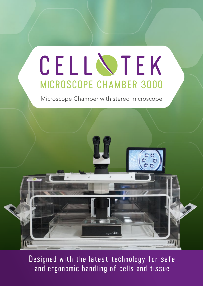## MICROSCOPE CHAMBER 3000 CELL NTEK

Microscope Chamber with stereo microscope



Designed with the latest technology for safe and ergonomic handling of cells and tissue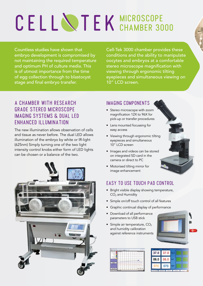# CELL NTEK MICROSCOPE

Countless studies have shown that embryo development is compromised by not maintaining the required temperature and optimum PH of culture media. This is of utmost importance from the time of egg collection through to blastocyst stage and final embryo transfer.

Cell-Tek 3000 chamber provides these conditions and the ability to manipulate oocytes and embryos at a comfortable stereo microscope magnification with viewing through ergonomic tilting eyepieces and simultaneous viewing on 10" LCD screen.

#### A CHAMBER WITH RESEARCH GRADE STEREO MICROSCOPE IMAGING SYSTEMS & DUAL LED ENHANCED ILLUMINATION

The new illumination allows observation of cells and tissue as never before. The dual LED allows illumination of the embryo by white or IR-light (625nm) Simply turning one of the two light intensity control knobs either form of LED lights can be chosen or a balance of the two.



#### IMAGING COMPONENTS

- Stereo microscope with zoom magnification 12X to 96X for pick-up or transfer procedures
- Lens mounted focussing for easy access
- Viewing through ergonomic tilting eyepieces and simultaneous 10" LCD screen
- Images and videos can be stored on integrated SD card in the camera or direct to PC
- Motorised tilting mirror for image enhancement

#### EASY TO USE TOUCH PAD CONTROL

- Bright visible display showing temperature, CO<sub>2</sub> and Humidity
- Simple on/off touch control of all features
- Graphic continual display of performance
- Download of all performance parameters to USB stick
- Simple air temperature, CO<sub>2</sub> and humidity calibration against reference instruments



| 406-12    |  |
|-----------|--|
| __        |  |
|           |  |
|           |  |
| Data Menu |  |
|           |  |

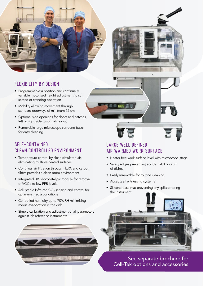

#### FLEXIBILITY BY DESIGN

- Programmable 4 position and continually variable motorised height adjustment to suit seated or standing operation
- Mobility allowing movement through standard doorways of minimum 72 cm
- Optional side openings for doors and hatches, left or right side to suit lab layout
- Removable large microscope surround base for easy cleaning

#### SELF-CONTAINED CLEAN CONTROLLED ENVIRONMENT

- Temperature control by clean circulated air, eliminating multiple heated surfaces
- Continual air filtration through HEPA and carbon filters provides a clean room environment
- Integrated UV photocatalytic module for removal of VOC's to low PPB levels
- Adjustable Infra-red  $CO<sub>2</sub>$  sensing and control for optimum media conditions
- Controlled humidity up to 70% RH minimising media evaporation in the dish
- Simple calibration and adjustment of all parameters against lab reference instruments



#### LARGE WELL DEFINED AIR WARMED WORK SURFACE

- Heater free work surface level with microscope stage
- Safety edges preventing accidental dropping of dishes
- Easily removable for routine cleaning
- Accepts all witnessing systems
- Silicone base mat preventing any spills entering the instrument



See separate brochure for Cell-Tek options and accessories